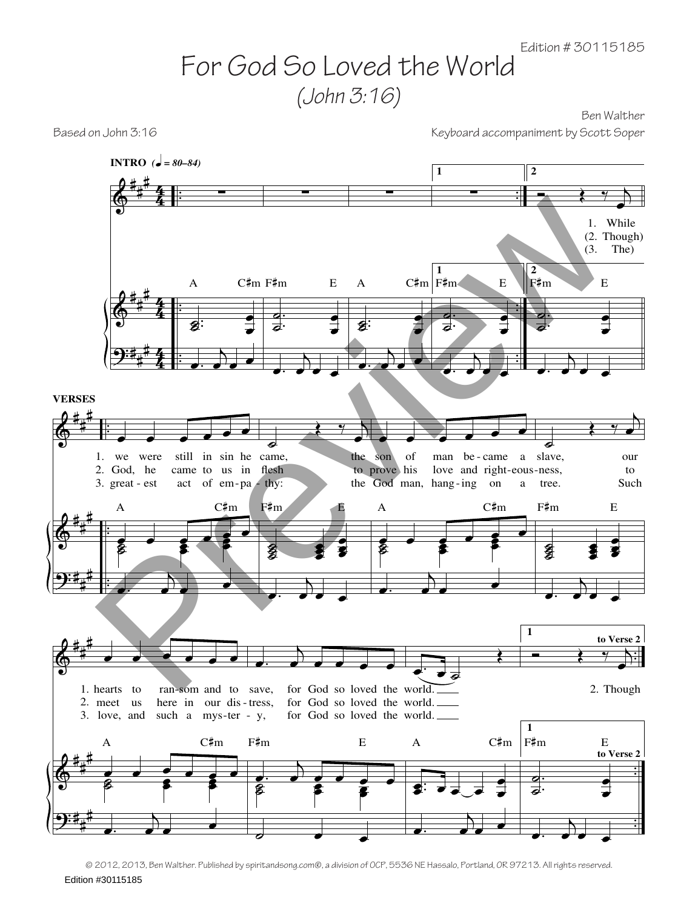## For God So Loved the World *(John 3:16)*

Ben Walther Based on John 3:16 Keyboard accompaniment by Scott Soper

 $\pmb{\phi}$  $\pmb{\phi}$  $\ddot{\text{?}}$ # # # # # # # # #  $rac{4}{4}$ 4  $\frac{4}{4}$ 4  $\frac{4}{4}$ 4 . . . . . . . . . . . ∑ . . ˙  $\frac{1}{2}$ : œ  $\cdot$   $\cdot$  $\bigcup$ A  $C \text{mm}$   $F \text{mm}$   $E$ **INTRO**  $\vec{z} = 80 - 84$ ∑ . .  $\overline{\phantom{0}}$  $\bullet$ œ œ  $\overrightarrow{a}$ . J., ∑  $\overline{\mathbf{z}}$  :  $\frac{1}{2}$ œ **.** œ œ œ A C#m F#m E **1** ∑ **1** . .  $\overline{\bullet}$  $\bullet$ œ œ œ. <sup>j</sup>  $\overrightarrow{e}$ **2**  $\rightarrow$   $\rightarrow$   $\rightarrow$ œ While 1. (2. Though) The) **2** . .  $\overline{\bullet}$ ˙ œ œ  $\overrightarrow{a}$ .  $\ddot{\cdot}$  $F#m$  E (3.  $\pmb{\phi}$  $\pmb{\phi}$  $\ddot{\textbf{?}}$ # # # # # # # # # . . . . . . œ œ œ œ œ œ we were 2. God, he 3. great - est still in sin he came, came to us in flesh act of  $em$ -pa - thy:  $\epsilon$   $\epsilon$   $\epsilon$   $\epsilon$  $\overline{\mathbf{z}}$  $\frac{1}{2}$   $\frac{1}{2}$ œ œ œ  $\overline{a}$  $\sum_{i=1}^n$  $C#m$ **VERSES** 1.  $\overline{\phantom{0}}$  $\left(\begin{array}{cc} \gamma & \gamma \end{array}\right)$ œ the to prove his - est act of em-pa thy: the God man, hang-ing on ˙ ˙ **s** e<br>e œ œ œ œ ž  $\overrightarrow{a}$ .  $\bullet$   $\bullet$  $F#m$ œ œ œ œ œ œ son of man be-came a slave, love and right-eous-ness, a  $\epsilon$   $\epsilon$   $\epsilon$   $\epsilon$  $\overline{\mathbf{z}}$  $\frac{1}{2}$   $\frac{1}{2}$ œ œ œ  $\bullet$ .  $\sum_{\sigma}$ A C#m  $\overline{\bullet}$  $\leftrightarrow$ œ tree. our to Such ˙ **880 880** œ œ œ œ œ œ  $\overrightarrow{a}$ .  $\ddot{\bullet}$ F#m E  $\pmb{\phi}$  $\pmb{\phi}$  $\ddot{\textbf{c}}$ # # # # # # # # # . . . .  $\overrightarrow{a}$  .  $\overrightarrow{b}$   $\overrightarrow{c}$   $\overrightarrow{c}$   $\overrightarrow{d}$   $\overrightarrow{e}$   $\overrightarrow{e}$   $\overrightarrow{e}$   $\overrightarrow{e}$   $\overrightarrow{e}$   $\overrightarrow{e}$   $\overrightarrow{e}$   $\overrightarrow{e}$   $\overrightarrow{e}$   $\overrightarrow{e}$   $\overrightarrow{e}$   $\overrightarrow{e}$   $\overrightarrow{e}$   $\overrightarrow{e}$   $\overrightarrow{e}$   $\overrightarrow{e}$   $\overrightarrow{e}$   $\overrightarrow{e}$   $\overrightarrow{e}$   $\over$ 1. hearts to 2. meet us 3. love, and ran som and to save, here in our dis tress, such a mys-ter - y,  $\frac{1}{2}$   $\frac{1}{2}$   $\frac{1}{2}$   $\frac{1}{2}$   $\frac{1}{2}$   $\frac{1}{2}$ **s** <u>。。。</u>  $\frac{e}{2}$ œ  $\bullet$ .  $\sum_{\alpha}$ A C#m  $\cdot$   $\cdot$ œ œ œ œ œ  $-$  som and to save, for God so loved the world.  $\frac{1}{\sqrt{2}}$  2. for God so loved the world. for God so loved the world.  $\cdot$   $\cdot$   $\cdot$ œ œ œ œ œ ˙ <mark>ø ø ø</mark><br>§ <mark>\$</mark>  $\begin{array}{cc} \bullet & \bullet & \bullet \\ \bullet & \bullet & \bullet \end{array}$ ē <mark>。</mark> F#m E œ. œ ˙ Œ  $\frac{1}{2}$ .  $\frac{1}{2}$ .  $\frac{1}{2}$ . œ œ  $\bullet$ .  $\sum$ A C#m **1**  $\leftrightarrow$   $\rightarrow$   $\rightarrow$ œ 2. Though **1** . . ˙  $\bullet$ œ œ  $\overrightarrow{a}$ .  $\mathcal{C}$  $|F^{\sharp}m$  E **to Verse 2 to Verse 2 Preview of the contract of the contract of the contract of the street of the street of the street of the street of the street of the street of the street of the street of the street of the street of the street of the str** 

© 2012, 2013, Ben Walther. Published by spiritandsong.com®, a division of OCP, 5536 NE Hassalo, Portland, OR 97213. All rights reserved.

Edition #30115185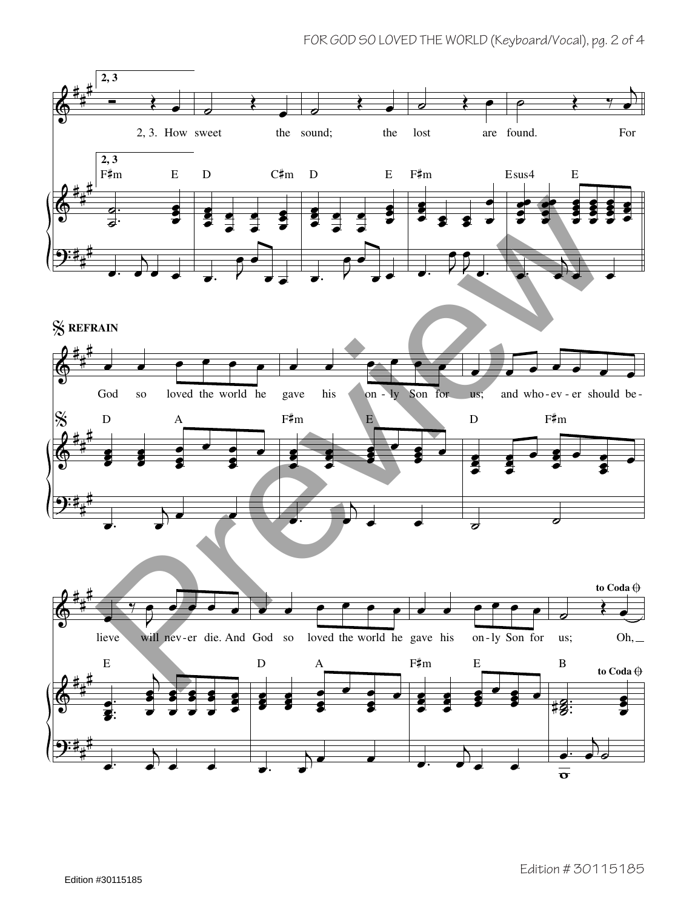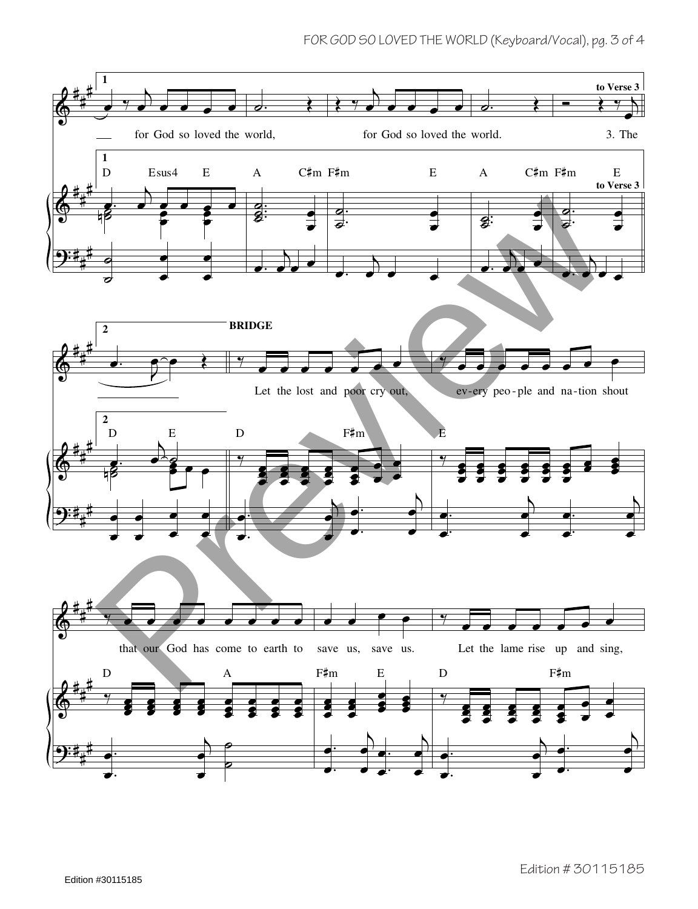